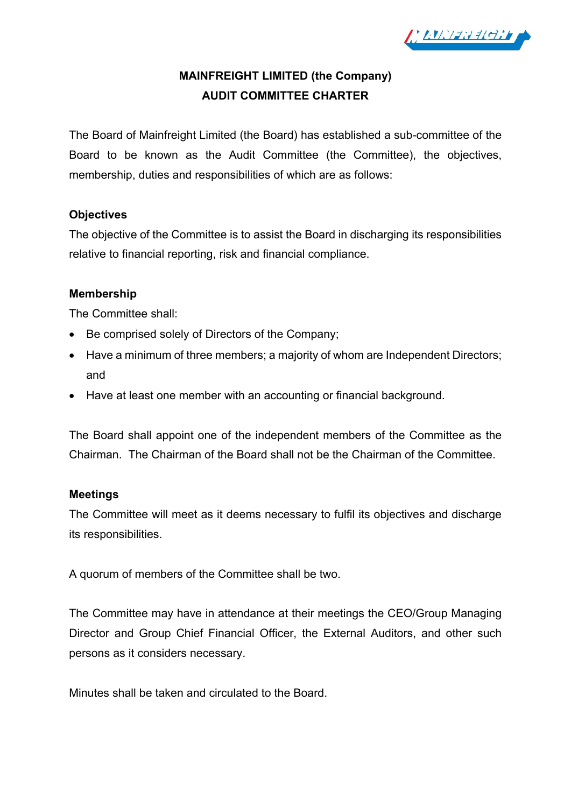

# **MAINFREIGHT LIMITED (the Company) AUDIT COMMITTEE CHARTER**

The Board of Mainfreight Limited (the Board) has established a sub-committee of the Board to be known as the Audit Committee (the Committee), the objectives, membership, duties and responsibilities of which are as follows:

## **Objectives**

The objective of the Committee is to assist the Board in discharging its responsibilities relative to financial reporting, risk and financial compliance.

### **Membership**

The Committee shall:

- Be comprised solely of Directors of the Company;
- Have a minimum of three members; a majority of whom are Independent Directors; and
- Have at least one member with an accounting or financial background.

The Board shall appoint one of the independent members of the Committee as the Chairman. The Chairman of the Board shall not be the Chairman of the Committee.

### **Meetings**

The Committee will meet as it deems necessary to fulfil its objectives and discharge its responsibilities.

A quorum of members of the Committee shall be two.

The Committee may have in attendance at their meetings the CEO/Group Managing Director and Group Chief Financial Officer, the External Auditors, and other such persons as it considers necessary.

Minutes shall be taken and circulated to the Board.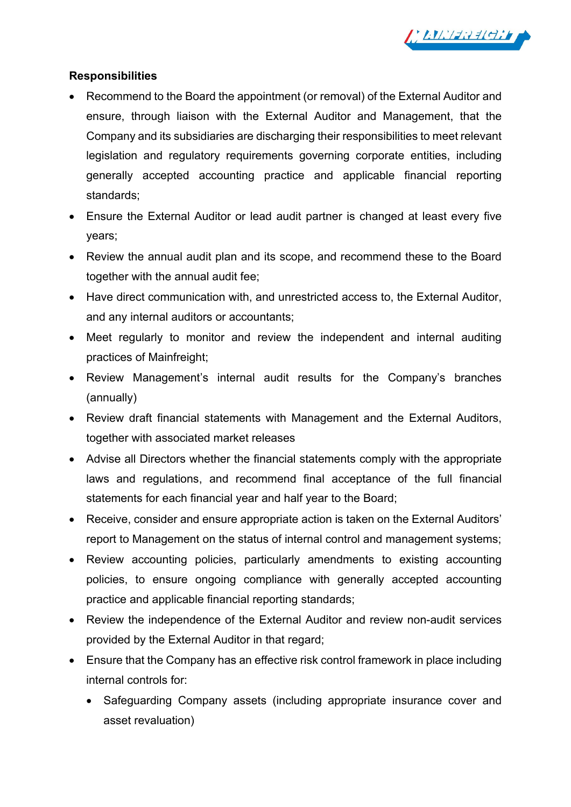

## **Responsibilities**

- Recommend to the Board the appointment (or removal) of the External Auditor and ensure, through liaison with the External Auditor and Management, that the Company and its subsidiaries are discharging their responsibilities to meet relevant legislation and regulatory requirements governing corporate entities, including generally accepted accounting practice and applicable financial reporting standards;
- Ensure the External Auditor or lead audit partner is changed at least every five years;
- Review the annual audit plan and its scope, and recommend these to the Board together with the annual audit fee;
- Have direct communication with, and unrestricted access to, the External Auditor, and any internal auditors or accountants;
- Meet regularly to monitor and review the independent and internal auditing practices of Mainfreight;
- Review Management's internal audit results for the Company's branches (annually)
- Review draft financial statements with Management and the External Auditors, together with associated market releases
- Advise all Directors whether the financial statements comply with the appropriate laws and regulations, and recommend final acceptance of the full financial statements for each financial year and half year to the Board;
- Receive, consider and ensure appropriate action is taken on the External Auditors' report to Management on the status of internal control and management systems;
- Review accounting policies, particularly amendments to existing accounting policies, to ensure ongoing compliance with generally accepted accounting practice and applicable financial reporting standards;
- Review the independence of the External Auditor and review non-audit services provided by the External Auditor in that regard;
- Ensure that the Company has an effective risk control framework in place including internal controls for:
	- Safeguarding Company assets (including appropriate insurance cover and asset revaluation)